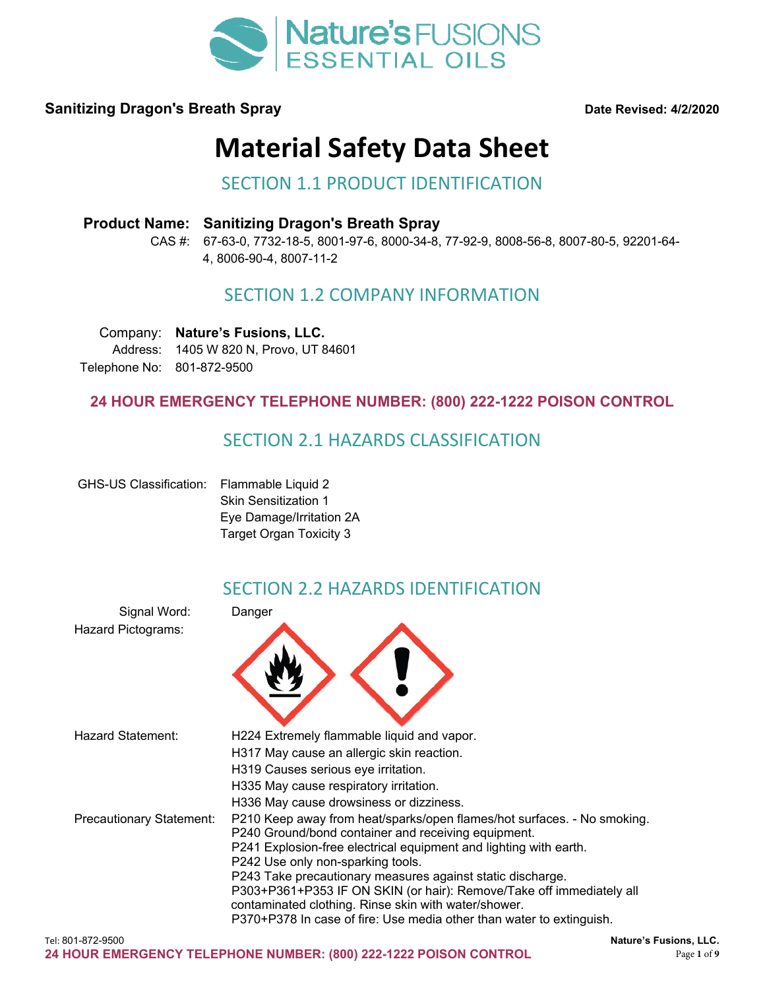

# **Material Safety Data Sheet**

#### SECTION 1.1 PRODUCT IDENTIFICATION

#### **Product Name: Sanitizing Dragon's Breath Spray**

CAS #: 67-63-0, 7732-18-5, 8001-97-6, 8000-34-8, 77-92-9, 8008-56-8, 8007-80-5, 92201-64- 4, 8006-90-4, 8007-11-2

### SECTION 1.2 COMPANY INFORMATION

Company: **Nature's Fusions, LLC.**  Address: 1405 W 820 N, Provo, UT 84601 Telephone No: 801-872-9500

#### **24 HOUR EMERGENCY TELEPHONE NUMBER: (800) 222-1222 POISON CONTROL**

#### SECTION 2.1 HAZARDS CLASSIFICATION

| <b>GHS-US Classification:</b> | Flammable Liquid 2          |
|-------------------------------|-----------------------------|
|                               | <b>Skin Sensitization 1</b> |
|                               | Eye Damage/Irritation 2A    |
|                               | Target Organ Toxicity 3     |

### SECTION 2.2 HAZARDS IDENTIFICATION

| Signal Word:             | Danger                                                                                                                                                                                                                                                                                                                                                                                                                                                                                                         |
|--------------------------|----------------------------------------------------------------------------------------------------------------------------------------------------------------------------------------------------------------------------------------------------------------------------------------------------------------------------------------------------------------------------------------------------------------------------------------------------------------------------------------------------------------|
| Hazard Pictograms:       |                                                                                                                                                                                                                                                                                                                                                                                                                                                                                                                |
| Hazard Statement:        | H224 Extremely flammable liquid and vapor.<br>H317 May cause an allergic skin reaction.<br>H319 Causes serious eye irritation.<br>H335 May cause respiratory irritation.<br>H336 May cause drowsiness or dizziness.                                                                                                                                                                                                                                                                                            |
| Precautionary Statement: | P210 Keep away from heat/sparks/open flames/hot surfaces. - No smoking.<br>P240 Ground/bond container and receiving equipment.<br>P241 Explosion-free electrical equipment and lighting with earth.<br>P242 Use only non-sparking tools.<br>P243 Take precautionary measures against static discharge.<br>P303+P361+P353 IF ON SKIN (or hair): Remove/Take off immediately all<br>contaminated clothing. Rinse skin with water/shower.<br>P370+P378 In case of fire: Use media other than water to extinguish. |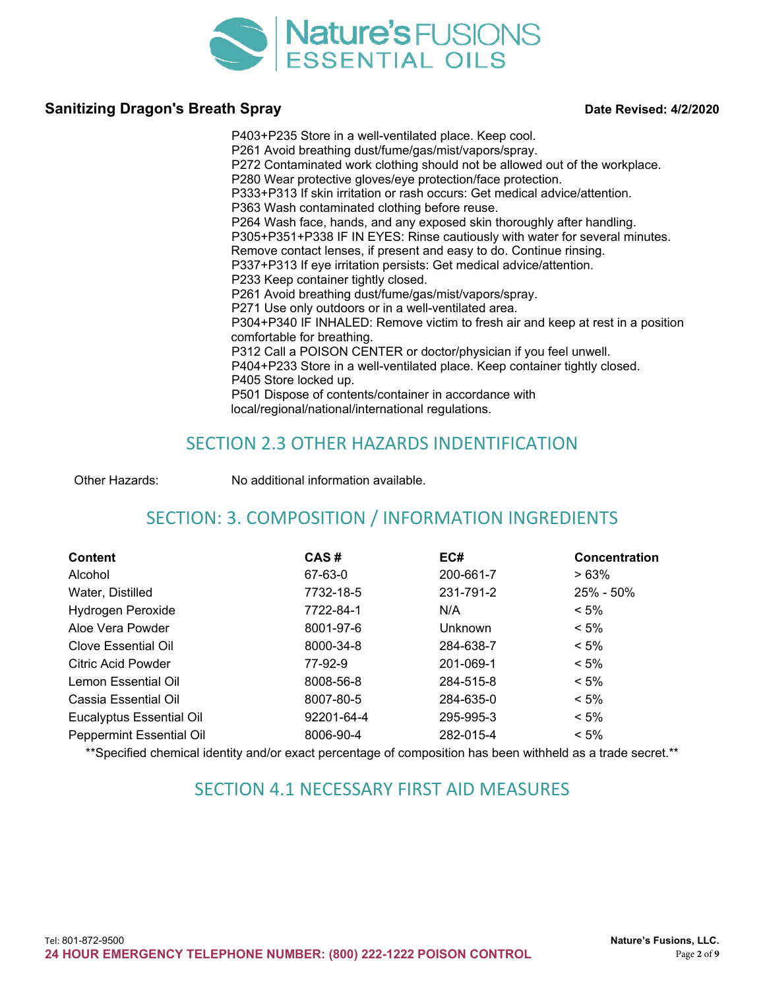

P403+P235 Store in a well-ventilated place. Keep cool. P261 Avoid breathing dust/fume/gas/mist/vapors/spray. P272 Contaminated work clothing should not be allowed out of the workplace. P280 Wear protective gloves/eye protection/face protection. P333+P313 If skin irritation or rash occurs: Get medical advice/attention. P363 Wash contaminated clothing before reuse. P264 Wash face, hands, and any exposed skin thoroughly after handling. P305+P351+P338 IF IN EYES: Rinse cautiously with water for several minutes. Remove contact lenses, if present and easy to do. Continue rinsing. P337+P313 If eye irritation persists: Get medical advice/attention. P233 Keep container tightly closed. P261 Avoid breathing dust/fume/gas/mist/vapors/spray. P271 Use only outdoors or in a well-ventilated area. P304+P340 IF INHALED: Remove victim to fresh air and keep at rest in a position comfortable for breathing. P312 Call a POISON CENTER or doctor/physician if you feel unwell. P404+P233 Store in a well-ventilated place. Keep container tightly closed. P405 Store locked up. P501 Dispose of contents/container in accordance with local/regional/national/international regulations.

### SECTION 2.3 OTHER HAZARDS INDENTIFICATION

Other Hazards: No additional information available.

# SECTION: 3. COMPOSITION / INFORMATION INGREDIENTS

| <b>Content</b>                  | CAS#       | EC#            | <b>Concentration</b> |
|---------------------------------|------------|----------------|----------------------|
| Alcohol                         | 67-63-0    | 200-661-7      | >63%                 |
| Water, Distilled                | 7732-18-5  | 231-791-2      | 25% - 50%            |
| Hydrogen Peroxide               | 7722-84-1  | N/A            | $< 5\%$              |
| Aloe Vera Powder                | 8001-97-6  | <b>Unknown</b> | $< 5\%$              |
| Clove Essential Oil             | 8000-34-8  | 284-638-7      | $< 5\%$              |
| <b>Citric Acid Powder</b>       | 77-92-9    | 201-069-1      | $< 5\%$              |
| Lemon Essential Oil             | 8008-56-8  | 284-515-8      | $< 5\%$              |
| Cassia Essential Oil            | 8007-80-5  | 284-635-0      | $< 5\%$              |
| <b>Eucalyptus Essential Oil</b> | 92201-64-4 | 295-995-3      | $< 5\%$              |
| <b>Peppermint Essential Oil</b> | 8006-90-4  | 282-015-4      | $< 5\%$              |

\*\*Specified chemical identity and/or exact percentage of composition has been withheld as a trade secret.\*\*

### SECTION 4.1 NECESSARY FIRST AID MEASURES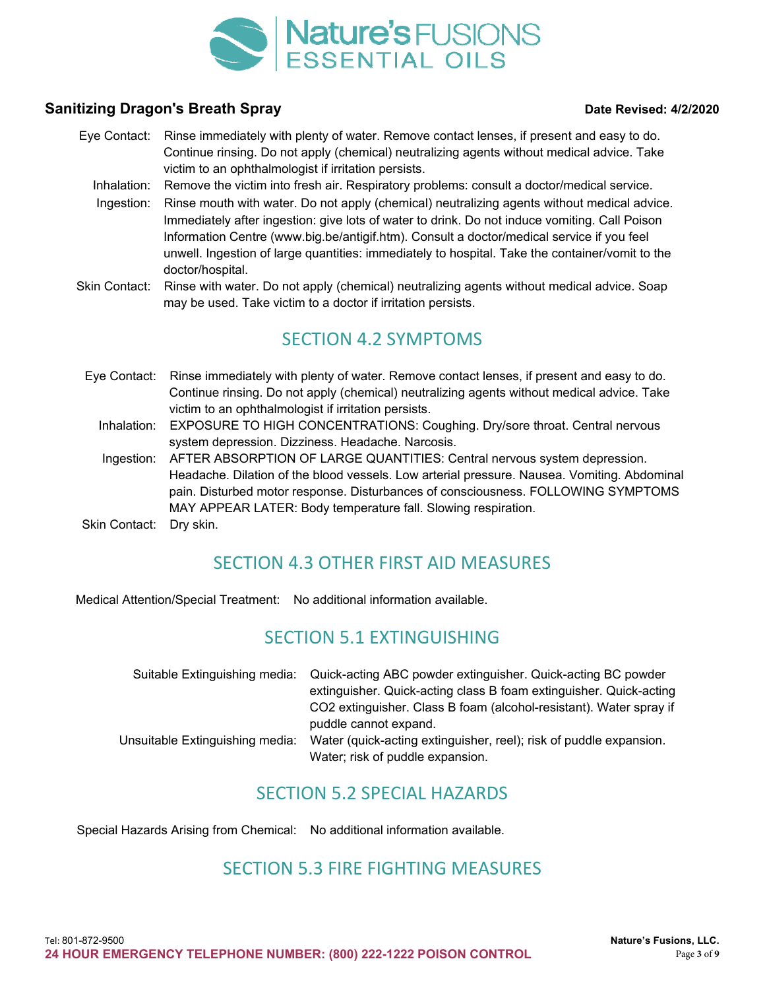

- Eye Contact: Rinse immediately with plenty of water. Remove contact lenses, if present and easy to do. Continue rinsing. Do not apply (chemical) neutralizing agents without medical advice. Take victim to an ophthalmologist if irritation persists.
	- Inhalation: Remove the victim into fresh air. Respiratory problems: consult a doctor/medical service.
	- Ingestion: Rinse mouth with water. Do not apply (chemical) neutralizing agents without medical advice. Immediately after ingestion: give lots of water to drink. Do not induce vomiting. Call Poison Information Centre (www.big.be/antigif.htm). Consult a doctor/medical service if you feel unwell. Ingestion of large quantities: immediately to hospital. Take the container/vomit to the doctor/hospital.
- Skin Contact: Rinse with water. Do not apply (chemical) neutralizing agents without medical advice. Soap may be used. Take victim to a doctor if irritation persists.

### SECTION 4.2 SYMPTOMS

- Eye Contact: Rinse immediately with plenty of water. Remove contact lenses, if present and easy to do. Continue rinsing. Do not apply (chemical) neutralizing agents without medical advice. Take victim to an ophthalmologist if irritation persists.
	- Inhalation: EXPOSURE TO HIGH CONCENTRATIONS: Coughing. Dry/sore throat. Central nervous system depression. Dizziness. Headache. Narcosis.
	- Ingestion: AFTER ABSORPTION OF LARGE QUANTITIES: Central nervous system depression. Headache. Dilation of the blood vessels. Low arterial pressure. Nausea. Vomiting. Abdominal pain. Disturbed motor response. Disturbances of consciousness. FOLLOWING SYMPTOMS MAY APPEAR LATER: Body temperature fall. Slowing respiration.
- Skin Contact: Dry skin.

# SECTION 4.3 OTHER FIRST AID MEASURES

Medical Attention/Special Treatment: No additional information available.

### SECTION 5.1 EXTINGUISHING

| Suitable Extinguishing media:   | Quick-acting ABC powder extinguisher. Quick-acting BC powder       |
|---------------------------------|--------------------------------------------------------------------|
|                                 | extinguisher. Quick-acting class B foam extinguisher. Quick-acting |
|                                 | CO2 extinguisher. Class B foam (alcohol-resistant). Water spray if |
|                                 | puddle cannot expand.                                              |
| Unsuitable Extinguishing media: | Water (quick-acting extinguisher, reel); risk of puddle expansion. |
|                                 | Water; risk of puddle expansion.                                   |

### SECTION 5.2 SPECIAL HAZARDS

Special Hazards Arising from Chemical: No additional information available.

#### SECTION 5.3 FIRE FIGHTING MEASURES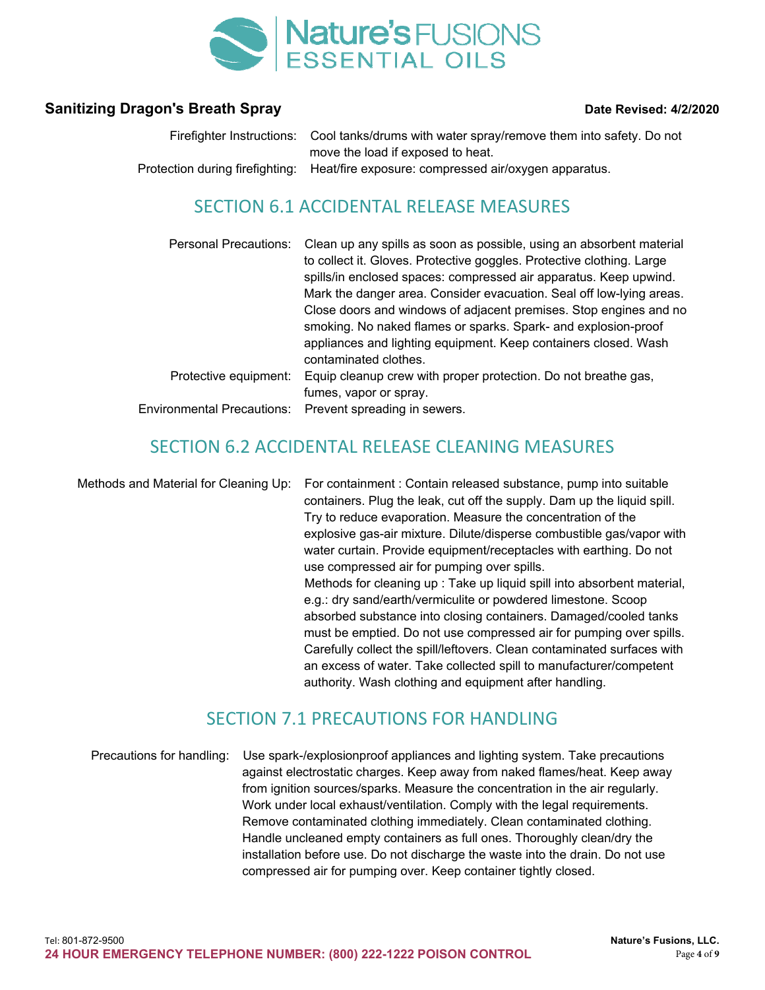

| Firefighter Instructions: Cool tanks/drums with water spray/remove them into safety. Do not |
|---------------------------------------------------------------------------------------------|
| move the load if exposed to heat.                                                           |
| Protection during firefighting: Heat/fire exposure: compressed air/oxygen apparatus.        |

### SECTION 6.1 ACCIDENTAL RELEASE MEASURES

| <b>Personal Precautions:</b> | Clean up any spills as soon as possible, using an absorbent material<br>to collect it. Gloves. Protective goggles. Protective clothing. Large<br>spills/in enclosed spaces: compressed air apparatus. Keep upwind.<br>Mark the danger area. Consider evacuation. Seal off low-lying areas.<br>Close doors and windows of adjacent premises. Stop engines and no<br>smoking. No naked flames or sparks. Spark- and explosion-proof<br>appliances and lighting equipment. Keep containers closed. Wash<br>contaminated clothes. |
|------------------------------|-------------------------------------------------------------------------------------------------------------------------------------------------------------------------------------------------------------------------------------------------------------------------------------------------------------------------------------------------------------------------------------------------------------------------------------------------------------------------------------------------------------------------------|
| Protective equipment:        | Equip cleanup crew with proper protection. Do not breathe gas,                                                                                                                                                                                                                                                                                                                                                                                                                                                                |
|                              | fumes, vapor or spray.                                                                                                                                                                                                                                                                                                                                                                                                                                                                                                        |
| Environmental Precautions:   | Prevent spreading in sewers.                                                                                                                                                                                                                                                                                                                                                                                                                                                                                                  |

### SECTION 6.2 ACCIDENTAL RELEASE CLEANING MEASURES

Methods and Material for Cleaning Up: For containment : Contain released substance, pump into suitable containers. Plug the leak, cut off the supply. Dam up the liquid spill. Try to reduce evaporation. Measure the concentration of the explosive gas-air mixture. Dilute/disperse combustible gas/vapor with water curtain. Provide equipment/receptacles with earthing. Do not use compressed air for pumping over spills. Methods for cleaning up : Take up liquid spill into absorbent material, e.g.: dry sand/earth/vermiculite or powdered limestone. Scoop absorbed substance into closing containers. Damaged/cooled tanks must be emptied. Do not use compressed air for pumping over spills. Carefully collect the spill/leftovers. Clean contaminated surfaces with an excess of water. Take collected spill to manufacturer/competent authority. Wash clothing and equipment after handling.

#### SECTION 7.1 PRECAUTIONS FOR HANDLING

Precautions for handling: Use spark-/explosionproof appliances and lighting system. Take precautions against electrostatic charges. Keep away from naked flames/heat. Keep away from ignition sources/sparks. Measure the concentration in the air regularly. Work under local exhaust/ventilation. Comply with the legal requirements. Remove contaminated clothing immediately. Clean contaminated clothing. Handle uncleaned empty containers as full ones. Thoroughly clean/dry the installation before use. Do not discharge the waste into the drain. Do not use compressed air for pumping over. Keep container tightly closed.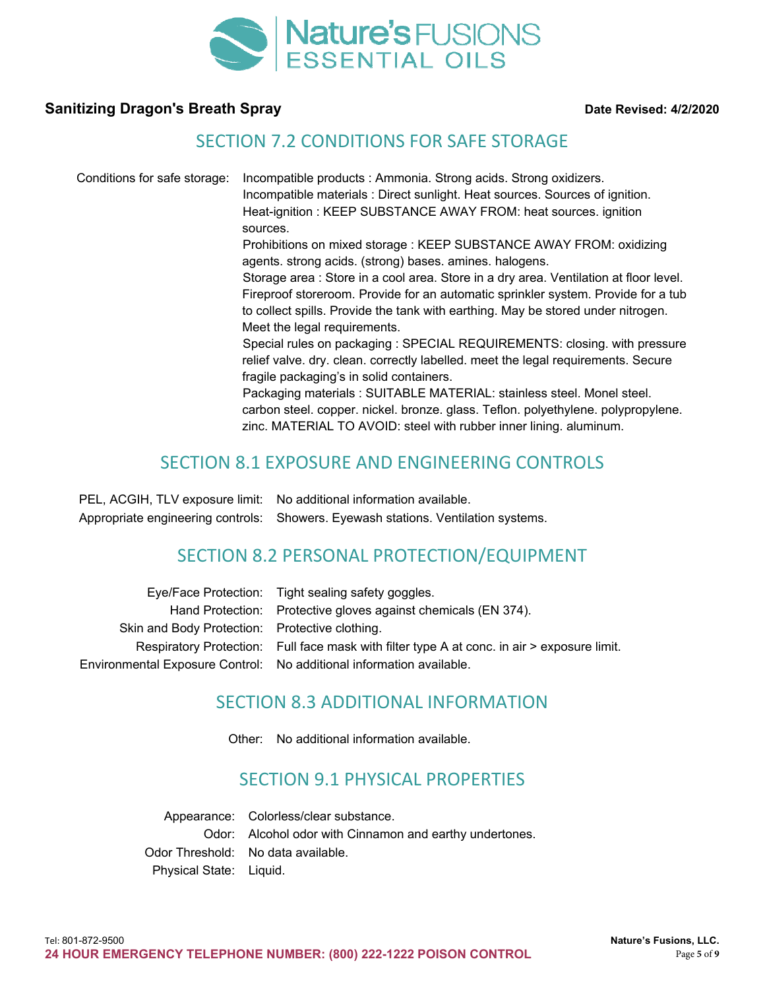

#### SECTION 7.2 CONDITIONS FOR SAFE STORAGE

Conditions for safe storage: Incompatible products : Ammonia. Strong acids. Strong oxidizers. Incompatible materials : Direct sunlight. Heat sources. Sources of ignition. Heat-ignition : KEEP SUBSTANCE AWAY FROM: heat sources. ignition sources. Prohibitions on mixed storage : KEEP SUBSTANCE AWAY FROM: oxidizing agents. strong acids. (strong) bases. amines. halogens. Storage area : Store in a cool area. Store in a dry area. Ventilation at floor level. Fireproof storeroom. Provide for an automatic sprinkler system. Provide for a tub to collect spills. Provide the tank with earthing. May be stored under nitrogen. Meet the legal requirements. Special rules on packaging : SPECIAL REQUIREMENTS: closing. with pressure relief valve. dry. clean. correctly labelled. meet the legal requirements. Secure fragile packaging's in solid containers. Packaging materials : SUITABLE MATERIAL: stainless steel. Monel steel. carbon steel. copper. nickel. bronze. glass. Teflon. polyethylene. polypropylene. zinc. MATERIAL TO AVOID: steel with rubber inner lining. aluminum.

### SECTION 8.1 EXPOSURE AND ENGINEERING CONTROLS

PEL, ACGIH, TLV exposure limit: No additional information available. Appropriate engineering controls: Showers. Eyewash stations. Ventilation systems.

### SECTION 8.2 PERSONAL PROTECTION/EQUIPMENT

|                                                | Eye/Face Protection: Tight sealing safety goggles.                                          |
|------------------------------------------------|---------------------------------------------------------------------------------------------|
|                                                | Hand Protection: Protective gloves against chemicals (EN 374).                              |
| Skin and Body Protection: Protective clothing. |                                                                                             |
|                                                | Respiratory Protection: Full face mask with filter type A at conc. in air > exposure limit. |
|                                                | Environmental Exposure Control: No additional information available.                        |
|                                                |                                                                                             |

### SECTION 8.3 ADDITIONAL INFORMATION

Other: No additional information available.

### SECTION 9.1 PHYSICAL PROPERTIES

Appearance: Colorless/clear substance. Odor: Alcohol odor with Cinnamon and earthy undertones. Odor Threshold: No data available. Physical State: Liquid.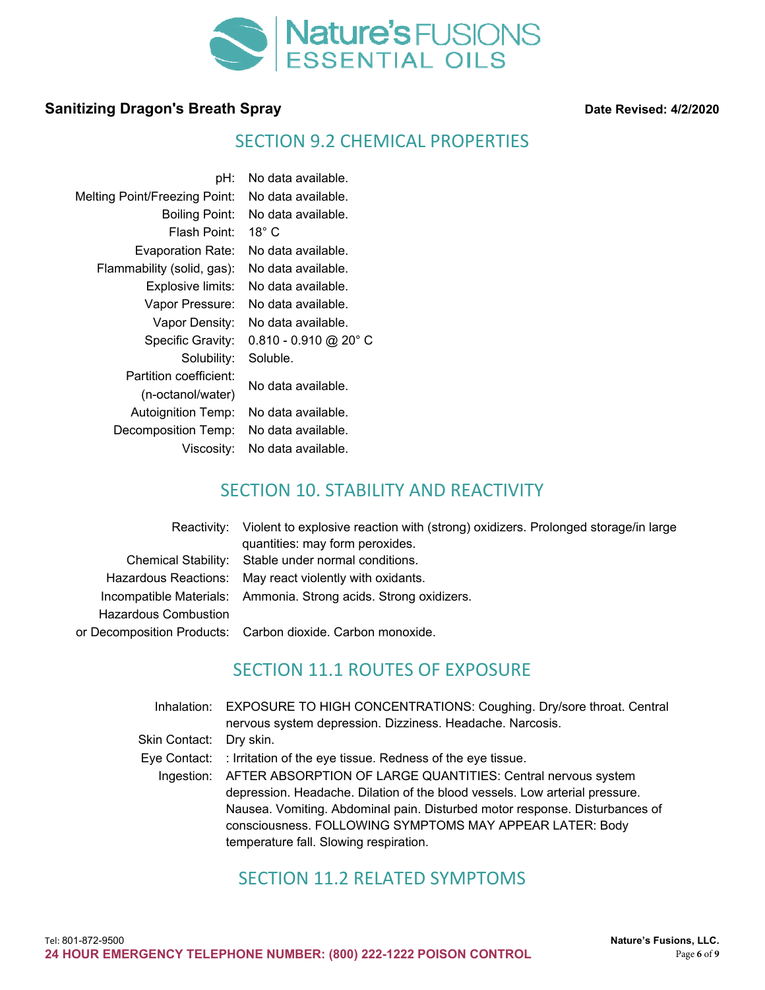

### SECTION 9.2 CHEMICAL PROPERTIES

| pH:                                  | No data available.      |
|--------------------------------------|-------------------------|
| <b>Melting Point/Freezing Point:</b> | No data available.      |
| <b>Boiling Point:</b>                | No data available.      |
| Flash Point:                         | 18 $^{\circ}$ C         |
| <b>Evaporation Rate:</b>             | No data available.      |
| Flammability (solid, gas):           | No data available.      |
| Explosive limits:                    | No data available.      |
| Vapor Pressure:                      | No data available.      |
| Vapor Density:                       | No data available.      |
| Specific Gravity:                    | $0.810 - 0.910$ @ 20° C |
| Solubility:                          | Soluble.                |
| Partition coefficient:               | No data available.      |
| (n-octanol/water)                    |                         |
| <b>Autoignition Temp:</b>            | No data available.      |
| Decomposition Temp:                  | No data available.      |
| Viscosity:                           | No data available.      |

# SECTION 10. STABILITY AND REACTIVITY

|                      | Reactivity: Violent to explosive reaction with (strong) oxidizers. Prolonged storage/in large<br>quantities: may form peroxides. |
|----------------------|----------------------------------------------------------------------------------------------------------------------------------|
|                      | Chemical Stability: Stable under normal conditions.                                                                              |
|                      | Hazardous Reactions: May react violently with oxidants.                                                                          |
|                      | Incompatible Materials: Ammonia. Strong acids. Strong oxidizers.                                                                 |
| Hazardous Combustion |                                                                                                                                  |
|                      | or Decomposition Products: Carbon dioxide. Carbon monoxide.                                                                      |

# SECTION 11.1 ROUTES OF EXPOSURE

|                         | Inhalation: EXPOSURE TO HIGH CONCENTRATIONS: Coughing. Dry/sore throat. Central |
|-------------------------|---------------------------------------------------------------------------------|
|                         | nervous system depression. Dizziness. Headache. Narcosis.                       |
| Skin Contact: Dry skin. |                                                                                 |
|                         | Eye Contact: : Irritation of the eye tissue. Redness of the eye tissue.         |
|                         | Ingestion: AFTER ABSORPTION OF LARGE QUANTITIES: Central nervous system         |
|                         | depression. Headache. Dilation of the blood vessels. Low arterial pressure.     |
|                         | Nausea. Vomiting. Abdominal pain. Disturbed motor response. Disturbances of     |
|                         | consciousness. FOLLOWING SYMPTOMS MAY APPEAR LATER: Body                        |
|                         | temperature fall. Slowing respiration.                                          |

# SECTION 11.2 RELATED SYMPTOMS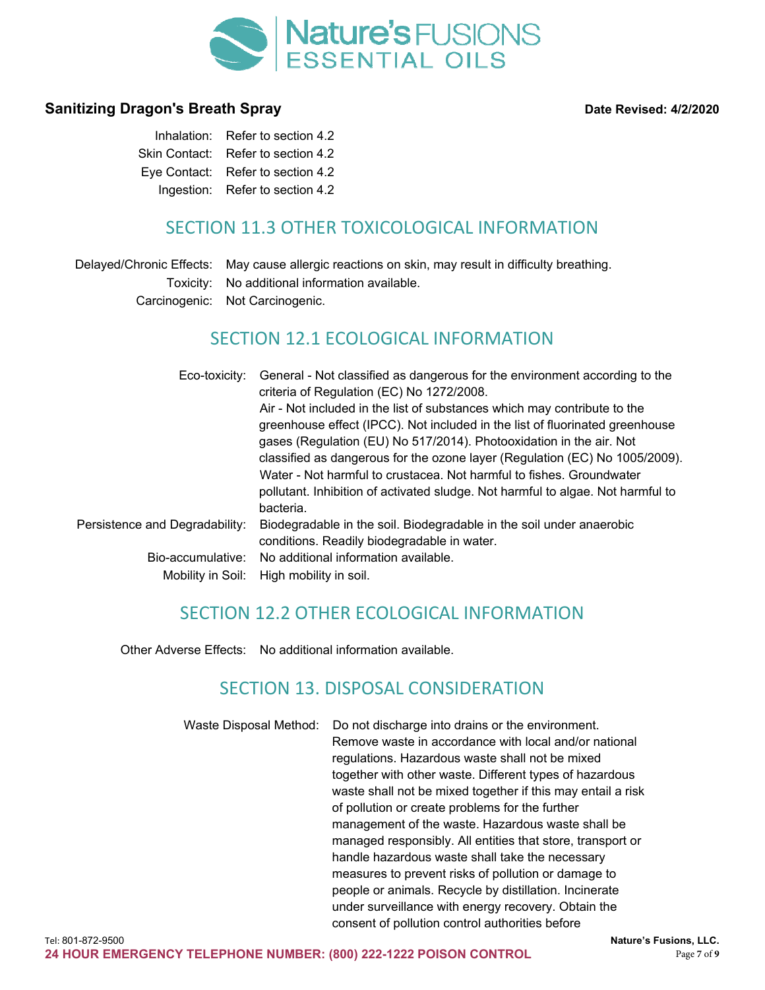

| Inhalation: Refer to section 4.2   |
|------------------------------------|
| Skin Contact: Refer to section 4.2 |
| Eye Contact: Refer to section 4.2  |
| Ingestion: Refer to section 4.2    |

# SECTION 11.3 OTHER TOXICOLOGICAL INFORMATION

Delayed/Chronic Effects: May cause allergic reactions on skin, may result in difficulty breathing. Toxicity: No additional information available. Carcinogenic: Not Carcinogenic.

# SECTION 12.1 ECOLOGICAL INFORMATION

| Eco-toxicity:                          | General - Not classified as dangerous for the environment according to the<br>criteria of Regulation (EC) No 1272/2008.<br>Air - Not included in the list of substances which may contribute to the<br>greenhouse effect (IPCC). Not included in the list of fluorinated greenhouse<br>gases (Regulation (EU) No 517/2014). Photooxidation in the air. Not<br>classified as dangerous for the ozone layer (Regulation (EC) No 1005/2009).<br>Water - Not harmful to crustacea. Not harmful to fishes. Groundwater<br>pollutant. Inhibition of activated sludge. Not harmful to algae. Not harmful to<br>bacteria. |
|----------------------------------------|-------------------------------------------------------------------------------------------------------------------------------------------------------------------------------------------------------------------------------------------------------------------------------------------------------------------------------------------------------------------------------------------------------------------------------------------------------------------------------------------------------------------------------------------------------------------------------------------------------------------|
| Persistence and Degradability:         | Biodegradable in the soil. Biodegradable in the soil under anaerobic<br>conditions. Readily biodegradable in water.                                                                                                                                                                                                                                                                                                                                                                                                                                                                                               |
| Bio-accumulative:<br>Mobility in Soil: | No additional information available.<br>High mobility in soil.                                                                                                                                                                                                                                                                                                                                                                                                                                                                                                                                                    |

# SECTION 12.2 OTHER ECOLOGICAL INFORMATION

Other Adverse Effects: No additional information available.

# SECTION 13. DISPOSAL CONSIDERATION

Waste Disposal Method: Do not discharge into drains or the environment. Remove waste in accordance with local and/or national regulations. Hazardous waste shall not be mixed together with other waste. Different types of hazardous waste shall not be mixed together if this may entail a risk of pollution or create problems for the further management of the waste. Hazardous waste shall be managed responsibly. All entities that store, transport or handle hazardous waste shall take the necessary measures to prevent risks of pollution or damage to people or animals. Recycle by distillation. Incinerate under surveillance with energy recovery. Obtain the consent of pollution control authorities before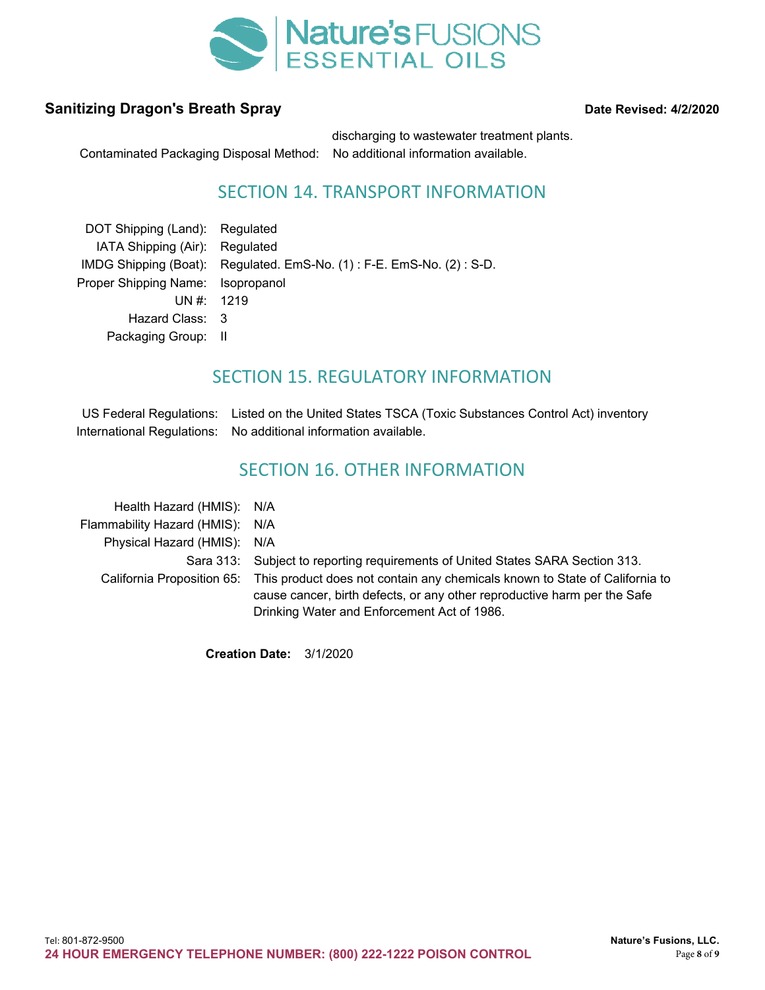

Contaminated Packaging Disposal Method: No additional information available.

discharging to wastewater treatment plants.

# SECTION 14. TRANSPORT INFORMATION

| DOT Shipping (Land): Regulated    |                                                                      |
|-----------------------------------|----------------------------------------------------------------------|
| IATA Shipping (Air): Regulated    |                                                                      |
|                                   | IMDG Shipping (Boat): Regulated. EmS-No. (1): F-E. EmS-No. (2): S-D. |
| Proper Shipping Name: Isopropanol |                                                                      |
| UN #: 1219                        |                                                                      |
| Hazard Class: 3                   |                                                                      |
| Packaging Group: II               |                                                                      |
|                                   |                                                                      |

# SECTION 15. REGULATORY INFORMATION

US Federal Regulations: Listed on the United States TSCA (Toxic Substances Control Act) inventory International Regulations: No additional information available.

### SECTION 16. OTHER INFORMATION

| Health Hazard (HMIS): N/A       |                                                                                                                                                                                                                                   |
|---------------------------------|-----------------------------------------------------------------------------------------------------------------------------------------------------------------------------------------------------------------------------------|
| Flammability Hazard (HMIS): N/A |                                                                                                                                                                                                                                   |
| Physical Hazard (HMIS): N/A     |                                                                                                                                                                                                                                   |
|                                 | Sara 313: Subject to reporting requirements of United States SARA Section 313.                                                                                                                                                    |
|                                 | California Proposition 65: This product does not contain any chemicals known to State of California to<br>cause cancer, birth defects, or any other reproductive harm per the Safe<br>Drinking Water and Enforcement Act of 1986. |

**Creation Date:** 3/1/2020